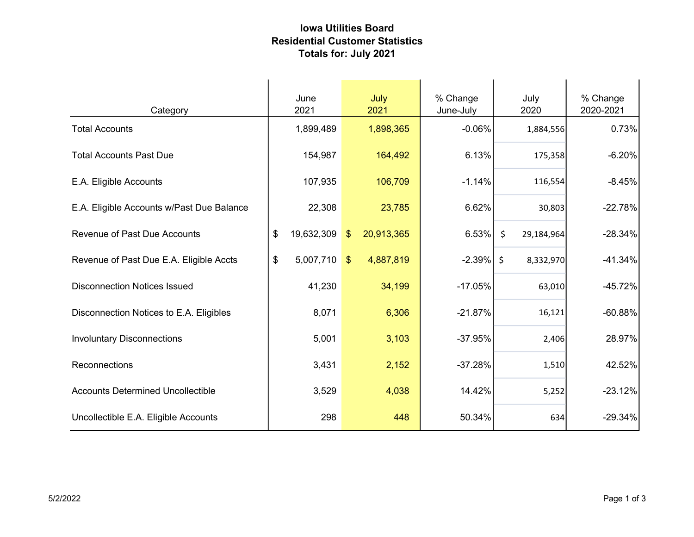## Iowa Utilities Board Residential Customer Statistics Totals for: July 2021

| Category                                  | June<br>2021         | July<br>2021                          |         | % Change<br>June-July | July<br>2020          | % Change<br>2020-2021 |
|-------------------------------------------|----------------------|---------------------------------------|---------|-----------------------|-----------------------|-----------------------|
| <b>Total Accounts</b>                     | 1,899,489            | 1,898,365                             |         | $-0.06%$              | 1,884,556             | 0.73%                 |
| <b>Total Accounts Past Due</b>            | 154,987              |                                       | 164,492 | 6.13%                 | 175,358               | $-6.20%$              |
| E.A. Eligible Accounts                    | 107,935              |                                       | 106,709 | $-1.14%$              | 116,554               | $-8.45%$              |
| E.A. Eligible Accounts w/Past Due Balance | 22,308               |                                       | 23,785  | 6.62%                 | 30,803                | $-22.78%$             |
| <b>Revenue of Past Due Accounts</b>       | 19,632,309<br>\$     | 20,913,365<br>$\sqrt[6]{\frac{1}{2}}$ |         | 6.53%                 | $\zeta$<br>29,184,964 | $-28.34%$             |
| Revenue of Past Due E.A. Eligible Accts   | \$<br>$5,007,710$ \$ | 4,887,819                             |         | $-2.39\%$ \$          | 8,332,970             | $-41.34%$             |
| <b>Disconnection Notices Issued</b>       | 41,230               |                                       | 34,199  | $-17.05%$             | 63,010                | $-45.72%$             |
| Disconnection Notices to E.A. Eligibles   | 8,071                |                                       | 6,306   | $-21.87%$             | 16,121                | $-60.88%$             |
| <b>Involuntary Disconnections</b>         | 5,001                |                                       | 3,103   | $-37.95%$             | 2,406                 | 28.97%                |
| Reconnections                             | 3,431                |                                       | 2,152   | $-37.28%$             | 1,510                 | 42.52%                |
| <b>Accounts Determined Uncollectible</b>  | 3,529                |                                       | 4,038   | 14.42%                | 5,252                 | $-23.12%$             |
| Uncollectible E.A. Eligible Accounts      | 298                  |                                       | 448     | 50.34%                | 634                   | $-29.34%$             |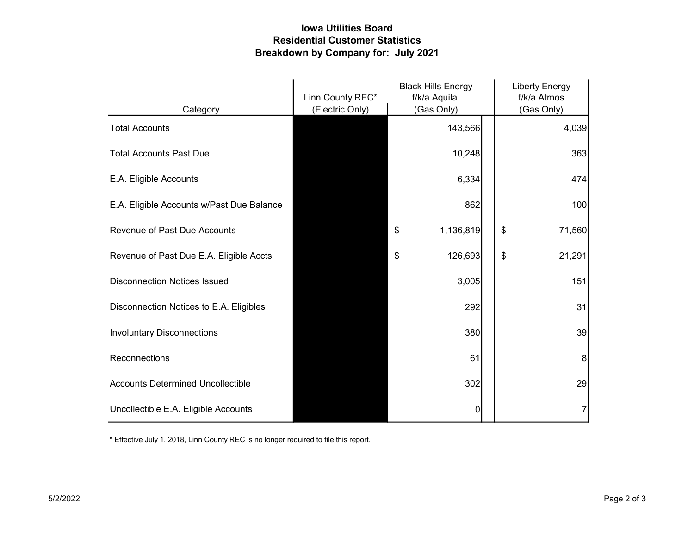## Iowa Utilities Board Residential Customer Statistics Breakdown by Company for: July 2021

|                                           | <b>Black Hills Energy</b><br>Linn County REC*<br>f/k/a Aquila |                 | <b>Liberty Energy</b><br>f/k/a Atmos |              |
|-------------------------------------------|---------------------------------------------------------------|-----------------|--------------------------------------|--------------|
| Category                                  | (Electric Only)                                               | (Gas Only)      |                                      | (Gas Only)   |
| <b>Total Accounts</b>                     |                                                               | 143,566         |                                      | 4,039        |
| <b>Total Accounts Past Due</b>            |                                                               | 10,248          |                                      | 363          |
| E.A. Eligible Accounts                    |                                                               | 6,334           |                                      | 474          |
| E.A. Eligible Accounts w/Past Due Balance |                                                               | 862             |                                      | 100          |
| <b>Revenue of Past Due Accounts</b>       |                                                               | 1,136,819<br>\$ |                                      | \$<br>71,560 |
| Revenue of Past Due E.A. Eligible Accts   |                                                               | 126,693<br>\$   |                                      | \$<br>21,291 |
| <b>Disconnection Notices Issued</b>       |                                                               | 3,005           |                                      | 151          |
| Disconnection Notices to E.A. Eligibles   |                                                               | 292             |                                      | 31           |
| <b>Involuntary Disconnections</b>         |                                                               | 380             |                                      | 39           |
| Reconnections                             |                                                               | 61              |                                      | 8            |
| <b>Accounts Determined Uncollectible</b>  |                                                               | 302             |                                      | 29           |
| Uncollectible E.A. Eligible Accounts      |                                                               | 0               |                                      |              |

\* Effective July 1, 2018, Linn County REC is no longer required to file this report.